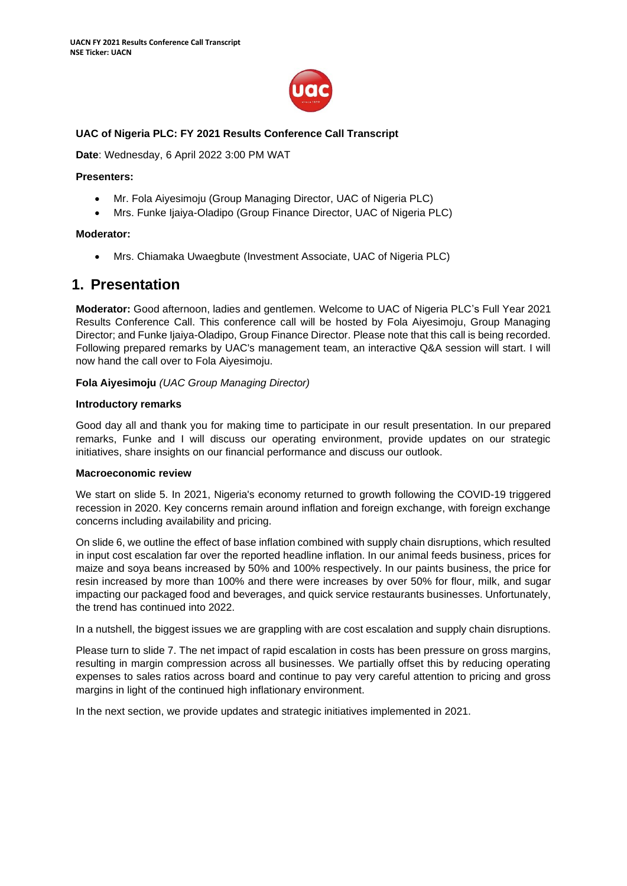

# **UAC of Nigeria PLC: FY 2021 Results Conference Call Transcript**

**Date**: Wednesday, 6 April 2022 3:00 PM WAT

#### **Presenters:**

- Mr. Fola Aiyesimoju (Group Managing Director, UAC of Nigeria PLC)
- Mrs. Funke Ijaiya-Oladipo (Group Finance Director, UAC of Nigeria PLC)

#### **Moderator:**

• Mrs. Chiamaka Uwaegbute (Investment Associate, UAC of Nigeria PLC)

# **1. Presentation**

**Moderator:** Good afternoon, ladies and gentlemen. Welcome to UAC of Nigeria PLC's Full Year 2021 Results Conference Call. This conference call will be hosted by Fola Aiyesimoju, Group Managing Director; and Funke Ijaiya-Oladipo, Group Finance Director. Please note that this call is being recorded. Following prepared remarks by UAC's management team, an interactive Q&A session will start. I will now hand the call over to Fola Aiyesimoju.

**Fola Aiyesimoju** *(UAC Group Managing Director)*

#### **Introductory remarks**

Good day all and thank you for making time to participate in our result presentation. In our prepared remarks, Funke and I will discuss our operating environment, provide updates on our strategic initiatives, share insights on our financial performance and discuss our outlook.

#### **Macroeconomic review**

We start on slide 5. In 2021, Nigeria's economy returned to growth following the COVID-19 triggered recession in 2020. Key concerns remain around inflation and foreign exchange, with foreign exchange concerns including availability and pricing.

On slide 6, we outline the effect of base inflation combined with supply chain disruptions, which resulted in input cost escalation far over the reported headline inflation. In our animal feeds business, prices for maize and soya beans increased by 50% and 100% respectively. In our paints business, the price for resin increased by more than 100% and there were increases by over 50% for flour, milk, and sugar impacting our packaged food and beverages, and quick service restaurants businesses. Unfortunately, the trend has continued into 2022.

In a nutshell, the biggest issues we are grappling with are cost escalation and supply chain disruptions.

Please turn to slide 7. The net impact of rapid escalation in costs has been pressure on gross margins, resulting in margin compression across all businesses. We partially offset this by reducing operating expenses to sales ratios across board and continue to pay very careful attention to pricing and gross margins in light of the continued high inflationary environment.

In the next section, we provide updates and strategic initiatives implemented in 2021.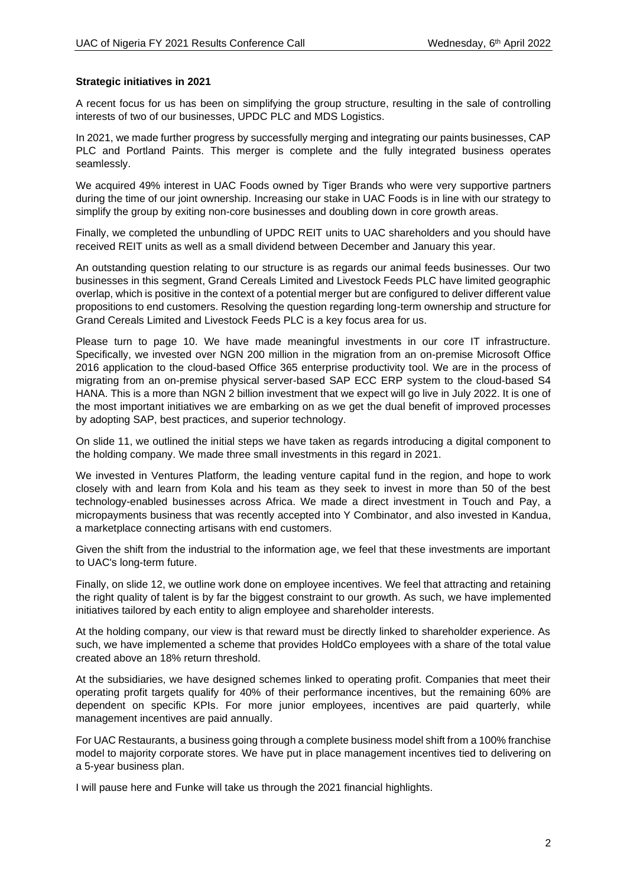#### **Strategic initiatives in 2021**

A recent focus for us has been on simplifying the group structure, resulting in the sale of controlling interests of two of our businesses, UPDC PLC and MDS Logistics.

In 2021, we made further progress by successfully merging and integrating our paints businesses, CAP PLC and Portland Paints. This merger is complete and the fully integrated business operates seamlessly.

We acquired 49% interest in UAC Foods owned by Tiger Brands who were very supportive partners during the time of our joint ownership. Increasing our stake in UAC Foods is in line with our strategy to simplify the group by exiting non-core businesses and doubling down in core growth areas.

Finally, we completed the unbundling of UPDC REIT units to UAC shareholders and you should have received REIT units as well as a small dividend between December and January this year.

An outstanding question relating to our structure is as regards our animal feeds businesses. Our two businesses in this segment, Grand Cereals Limited and Livestock Feeds PLC have limited geographic overlap, which is positive in the context of a potential merger but are configured to deliver different value propositions to end customers. Resolving the question regarding long-term ownership and structure for Grand Cereals Limited and Livestock Feeds PLC is a key focus area for us.

Please turn to page 10. We have made meaningful investments in our core IT infrastructure. Specifically, we invested over NGN 200 million in the migration from an on-premise Microsoft Office 2016 application to the cloud-based Office 365 enterprise productivity tool. We are in the process of migrating from an on-premise physical server-based SAP ECC ERP system to the cloud-based S4 HANA. This is a more than NGN 2 billion investment that we expect will go live in July 2022. It is one of the most important initiatives we are embarking on as we get the dual benefit of improved processes by adopting SAP, best practices, and superior technology.

On slide 11, we outlined the initial steps we have taken as regards introducing a digital component to the holding company. We made three small investments in this regard in 2021.

We invested in Ventures Platform, the leading venture capital fund in the region, and hope to work closely with and learn from Kola and his team as they seek to invest in more than 50 of the best technology-enabled businesses across Africa. We made a direct investment in Touch and Pay, a micropayments business that was recently accepted into Y Combinator, and also invested in Kandua, a marketplace connecting artisans with end customers.

Given the shift from the industrial to the information age, we feel that these investments are important to UAC's long-term future.

Finally, on slide 12, we outline work done on employee incentives. We feel that attracting and retaining the right quality of talent is by far the biggest constraint to our growth. As such, we have implemented initiatives tailored by each entity to align employee and shareholder interests.

At the holding company, our view is that reward must be directly linked to shareholder experience. As such, we have implemented a scheme that provides HoldCo employees with a share of the total value created above an 18% return threshold.

At the subsidiaries, we have designed schemes linked to operating profit. Companies that meet their operating profit targets qualify for 40% of their performance incentives, but the remaining 60% are dependent on specific KPIs. For more junior employees, incentives are paid quarterly, while management incentives are paid annually.

For UAC Restaurants, a business going through a complete business model shift from a 100% franchise model to majority corporate stores. We have put in place management incentives tied to delivering on a 5-year business plan.

I will pause here and Funke will take us through the 2021 financial highlights.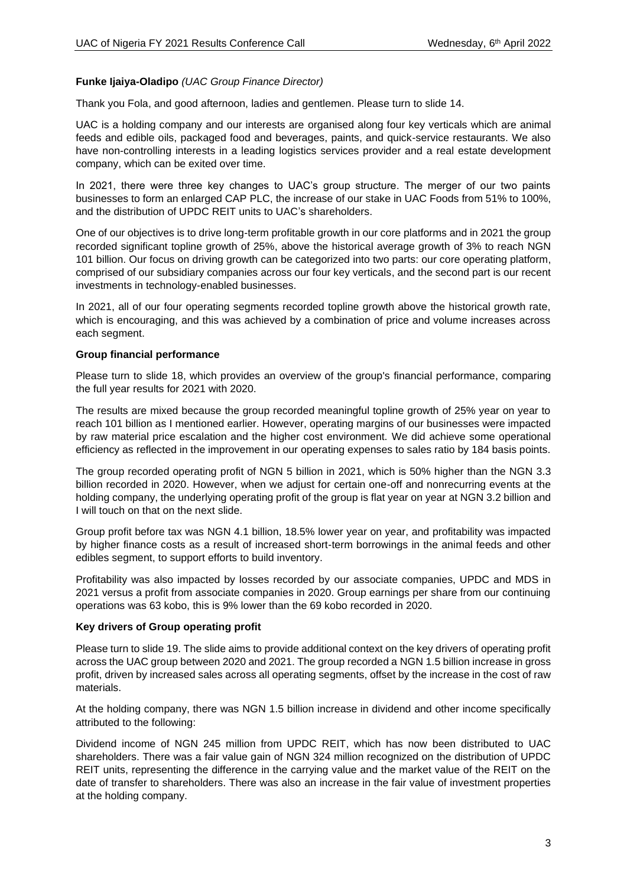## **Funke Ijaiya-Oladipo** *(UAC Group Finance Director)*

Thank you Fola, and good afternoon, ladies and gentlemen. Please turn to slide 14.

UAC is a holding company and our interests are organised along four key verticals which are animal feeds and edible oils, packaged food and beverages, paints, and quick-service restaurants. We also have non-controlling interests in a leading logistics services provider and a real estate development company, which can be exited over time.

In 2021, there were three key changes to UAC's group structure. The merger of our two paints businesses to form an enlarged CAP PLC, the increase of our stake in UAC Foods from 51% to 100%, and the distribution of UPDC REIT units to UAC's shareholders.

One of our objectives is to drive long-term profitable growth in our core platforms and in 2021 the group recorded significant topline growth of 25%, above the historical average growth of 3% to reach NGN 101 billion. Our focus on driving growth can be categorized into two parts: our core operating platform, comprised of our subsidiary companies across our four key verticals, and the second part is our recent investments in technology-enabled businesses.

In 2021, all of our four operating segments recorded topline growth above the historical growth rate, which is encouraging, and this was achieved by a combination of price and volume increases across each segment.

## **Group financial performance**

Please turn to slide 18, which provides an overview of the group's financial performance, comparing the full year results for 2021 with 2020.

The results are mixed because the group recorded meaningful topline growth of 25% year on year to reach 101 billion as I mentioned earlier. However, operating margins of our businesses were impacted by raw material price escalation and the higher cost environment. We did achieve some operational efficiency as reflected in the improvement in our operating expenses to sales ratio by 184 basis points.

The group recorded operating profit of NGN 5 billion in 2021, which is 50% higher than the NGN 3.3 billion recorded in 2020. However, when we adjust for certain one-off and nonrecurring events at the holding company, the underlying operating profit of the group is flat year on year at NGN 3.2 billion and I will touch on that on the next slide.

Group profit before tax was NGN 4.1 billion, 18.5% lower year on year, and profitability was impacted by higher finance costs as a result of increased short-term borrowings in the animal feeds and other edibles segment, to support efforts to build inventory.

Profitability was also impacted by losses recorded by our associate companies, UPDC and MDS in 2021 versus a profit from associate companies in 2020. Group earnings per share from our continuing operations was 63 kobo, this is 9% lower than the 69 kobo recorded in 2020.

## **Key drivers of Group operating profit**

Please turn to slide 19. The slide aims to provide additional context on the key drivers of operating profit across the UAC group between 2020 and 2021. The group recorded a NGN 1.5 billion increase in gross profit, driven by increased sales across all operating segments, offset by the increase in the cost of raw materials.

At the holding company, there was NGN 1.5 billion increase in dividend and other income specifically attributed to the following:

Dividend income of NGN 245 million from UPDC REIT, which has now been distributed to UAC shareholders. There was a fair value gain of NGN 324 million recognized on the distribution of UPDC REIT units, representing the difference in the carrying value and the market value of the REIT on the date of transfer to shareholders. There was also an increase in the fair value of investment properties at the holding company.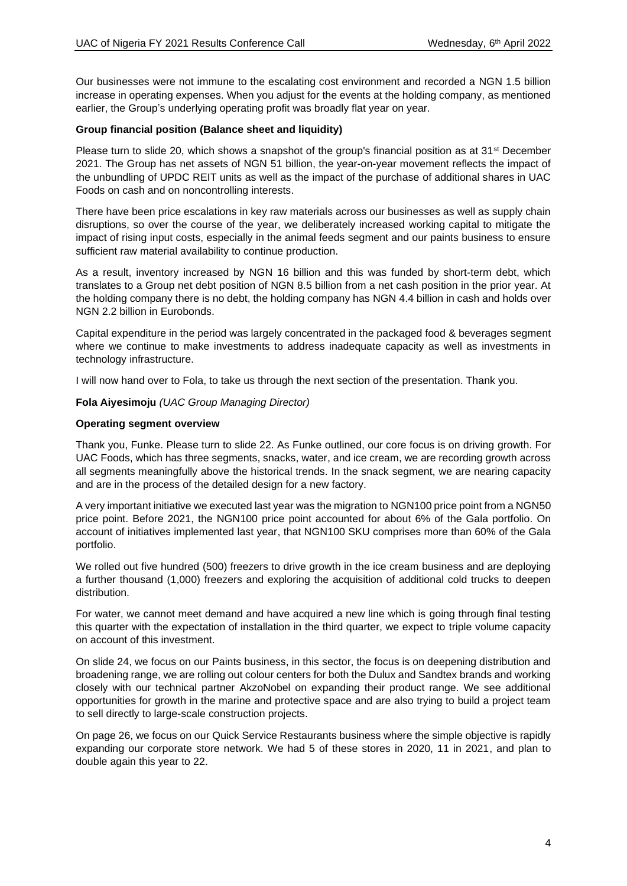Our businesses were not immune to the escalating cost environment and recorded a NGN 1.5 billion increase in operating expenses. When you adjust for the events at the holding company, as mentioned earlier, the Group's underlying operating profit was broadly flat year on year.

## **Group financial position (Balance sheet and liquidity)**

Please turn to slide 20, which shows a snapshot of the group's financial position as at  $31<sup>st</sup>$  December 2021. The Group has net assets of NGN 51 billion, the year-on-year movement reflects the impact of the unbundling of UPDC REIT units as well as the impact of the purchase of additional shares in UAC Foods on cash and on noncontrolling interests.

There have been price escalations in key raw materials across our businesses as well as supply chain disruptions, so over the course of the year, we deliberately increased working capital to mitigate the impact of rising input costs, especially in the animal feeds segment and our paints business to ensure sufficient raw material availability to continue production.

As a result, inventory increased by NGN 16 billion and this was funded by short-term debt, which translates to a Group net debt position of NGN 8.5 billion from a net cash position in the prior year. At the holding company there is no debt, the holding company has NGN 4.4 billion in cash and holds over NGN 2.2 billion in Eurobonds.

Capital expenditure in the period was largely concentrated in the packaged food & beverages segment where we continue to make investments to address inadequate capacity as well as investments in technology infrastructure.

I will now hand over to Fola, to take us through the next section of the presentation. Thank you.

## **Fola Aiyesimoju** *(UAC Group Managing Director)*

## **Operating segment overview**

Thank you, Funke. Please turn to slide 22. As Funke outlined, our core focus is on driving growth. For UAC Foods, which has three segments, snacks, water, and ice cream, we are recording growth across all segments meaningfully above the historical trends. In the snack segment, we are nearing capacity and are in the process of the detailed design for a new factory.

A very important initiative we executed last year was the migration to NGN100 price point from a NGN50 price point. Before 2021, the NGN100 price point accounted for about 6% of the Gala portfolio. On account of initiatives implemented last year, that NGN100 SKU comprises more than 60% of the Gala portfolio.

We rolled out five hundred (500) freezers to drive growth in the ice cream business and are deploying a further thousand (1,000) freezers and exploring the acquisition of additional cold trucks to deepen distribution.

For water, we cannot meet demand and have acquired a new line which is going through final testing this quarter with the expectation of installation in the third quarter, we expect to triple volume capacity on account of this investment.

On slide 24, we focus on our Paints business, in this sector, the focus is on deepening distribution and broadening range, we are rolling out colour centers for both the Dulux and Sandtex brands and working closely with our technical partner AkzoNobel on expanding their product range. We see additional opportunities for growth in the marine and protective space and are also trying to build a project team to sell directly to large-scale construction projects.

On page 26, we focus on our Quick Service Restaurants business where the simple objective is rapidly expanding our corporate store network. We had 5 of these stores in 2020, 11 in 2021, and plan to double again this year to 22.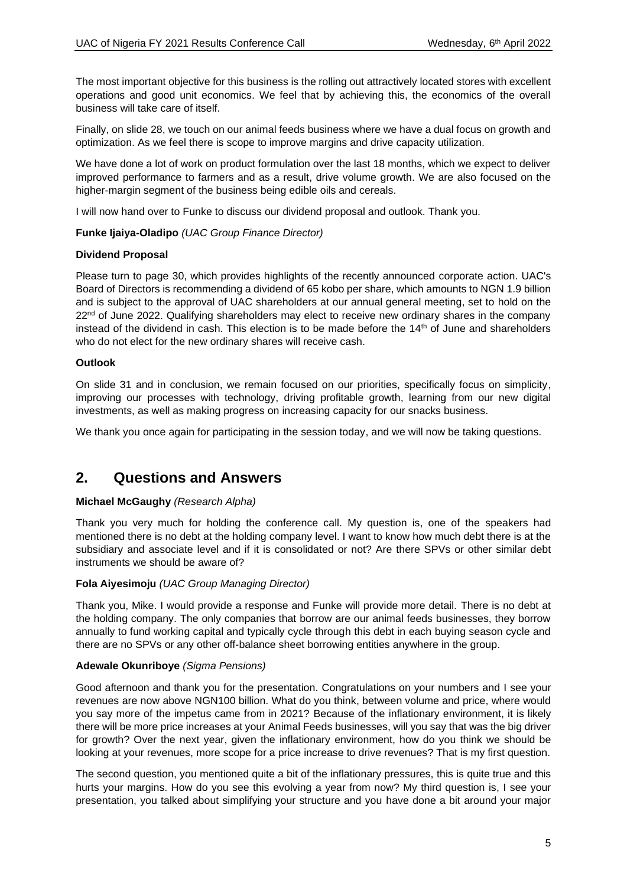The most important objective for this business is the rolling out attractively located stores with excellent operations and good unit economics. We feel that by achieving this, the economics of the overall business will take care of itself.

Finally, on slide 28, we touch on our animal feeds business where we have a dual focus on growth and optimization. As we feel there is scope to improve margins and drive capacity utilization.

We have done a lot of work on product formulation over the last 18 months, which we expect to deliver improved performance to farmers and as a result, drive volume growth. We are also focused on the higher-margin segment of the business being edible oils and cereals.

I will now hand over to Funke to discuss our dividend proposal and outlook. Thank you.

## **Funke Ijaiya-Oladipo** *(UAC Group Finance Director)*

#### **Dividend Proposal**

Please turn to page 30, which provides highlights of the recently announced corporate action. UAC's Board of Directors is recommending a dividend of 65 kobo per share, which amounts to NGN 1.9 billion and is subject to the approval of UAC shareholders at our annual general meeting, set to hold on the  $22<sup>nd</sup>$  of June 2022. Qualifying shareholders may elect to receive new ordinary shares in the company instead of the dividend in cash. This election is to be made before the 14<sup>th</sup> of June and shareholders who do not elect for the new ordinary shares will receive cash.

## **Outlook**

On slide 31 and in conclusion, we remain focused on our priorities, specifically focus on simplicity, improving our processes with technology, driving profitable growth, learning from our new digital investments, as well as making progress on increasing capacity for our snacks business.

We thank you once again for participating in the session today, and we will now be taking questions.

# **2. Questions and Answers**

## **Michael McGaughy** *(Research Alpha)*

Thank you very much for holding the conference call. My question is, one of the speakers had mentioned there is no debt at the holding company level. I want to know how much debt there is at the subsidiary and associate level and if it is consolidated or not? Are there SPVs or other similar debt instruments we should be aware of?

## **Fola Aiyesimoju** *(UAC Group Managing Director)*

Thank you, Mike. I would provide a response and Funke will provide more detail. There is no debt at the holding company. The only companies that borrow are our animal feeds businesses, they borrow annually to fund working capital and typically cycle through this debt in each buying season cycle and there are no SPVs or any other off-balance sheet borrowing entities anywhere in the group.

#### **Adewale Okunriboye** *(Sigma Pensions)*

Good afternoon and thank you for the presentation. Congratulations on your numbers and I see your revenues are now above NGN100 billion. What do you think, between volume and price, where would you say more of the impetus came from in 2021? Because of the inflationary environment, it is likely there will be more price increases at your Animal Feeds businesses, will you say that was the big driver for growth? Over the next year, given the inflationary environment, how do you think we should be looking at your revenues, more scope for a price increase to drive revenues? That is my first question.

The second question, you mentioned quite a bit of the inflationary pressures, this is quite true and this hurts your margins. How do you see this evolving a year from now? My third question is, I see your presentation, you talked about simplifying your structure and you have done a bit around your major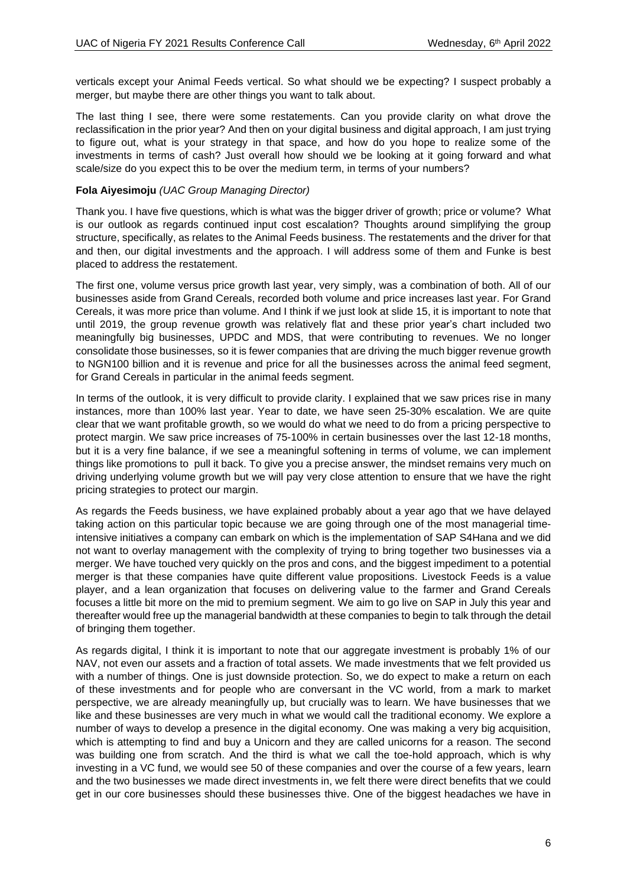verticals except your Animal Feeds vertical. So what should we be expecting? I suspect probably a merger, but maybe there are other things you want to talk about.

The last thing I see, there were some restatements. Can you provide clarity on what drove the reclassification in the prior year? And then on your digital business and digital approach, I am just trying to figure out, what is your strategy in that space, and how do you hope to realize some of the investments in terms of cash? Just overall how should we be looking at it going forward and what scale/size do you expect this to be over the medium term, in terms of your numbers?

#### **Fola Aiyesimoju** *(UAC Group Managing Director)*

Thank you. I have five questions, which is what was the bigger driver of growth; price or volume? What is our outlook as regards continued input cost escalation? Thoughts around simplifying the group structure, specifically, as relates to the Animal Feeds business. The restatements and the driver for that and then, our digital investments and the approach. I will address some of them and Funke is best placed to address the restatement.

The first one, volume versus price growth last year, very simply, was a combination of both. All of our businesses aside from Grand Cereals, recorded both volume and price increases last year. For Grand Cereals, it was more price than volume. And I think if we just look at slide 15, it is important to note that until 2019, the group revenue growth was relatively flat and these prior year's chart included two meaningfully big businesses, UPDC and MDS, that were contributing to revenues. We no longer consolidate those businesses, so it is fewer companies that are driving the much bigger revenue growth to NGN100 billion and it is revenue and price for all the businesses across the animal feed segment, for Grand Cereals in particular in the animal feeds segment.

In terms of the outlook, it is very difficult to provide clarity. I explained that we saw prices rise in many instances, more than 100% last year. Year to date, we have seen 25-30% escalation. We are quite clear that we want profitable growth, so we would do what we need to do from a pricing perspective to protect margin. We saw price increases of 75-100% in certain businesses over the last 12-18 months, but it is a very fine balance, if we see a meaningful softening in terms of volume, we can implement things like promotions to pull it back. To give you a precise answer, the mindset remains very much on driving underlying volume growth but we will pay very close attention to ensure that we have the right pricing strategies to protect our margin.

As regards the Feeds business, we have explained probably about a year ago that we have delayed taking action on this particular topic because we are going through one of the most managerial timeintensive initiatives a company can embark on which is the implementation of SAP S4Hana and we did not want to overlay management with the complexity of trying to bring together two businesses via a merger. We have touched very quickly on the pros and cons, and the biggest impediment to a potential merger is that these companies have quite different value propositions. Livestock Feeds is a value player, and a lean organization that focuses on delivering value to the farmer and Grand Cereals focuses a little bit more on the mid to premium segment. We aim to go live on SAP in July this year and thereafter would free up the managerial bandwidth at these companies to begin to talk through the detail of bringing them together.

As regards digital, I think it is important to note that our aggregate investment is probably 1% of our NAV, not even our assets and a fraction of total assets. We made investments that we felt provided us with a number of things. One is just downside protection. So, we do expect to make a return on each of these investments and for people who are conversant in the VC world, from a mark to market perspective, we are already meaningfully up, but crucially was to learn. We have businesses that we like and these businesses are very much in what we would call the traditional economy. We explore a number of ways to develop a presence in the digital economy. One was making a very big acquisition, which is attempting to find and buy a Unicorn and they are called unicorns for a reason. The second was building one from scratch. And the third is what we call the toe-hold approach, which is why investing in a VC fund, we would see 50 of these companies and over the course of a few years, learn and the two businesses we made direct investments in, we felt there were direct benefits that we could get in our core businesses should these businesses thive. One of the biggest headaches we have in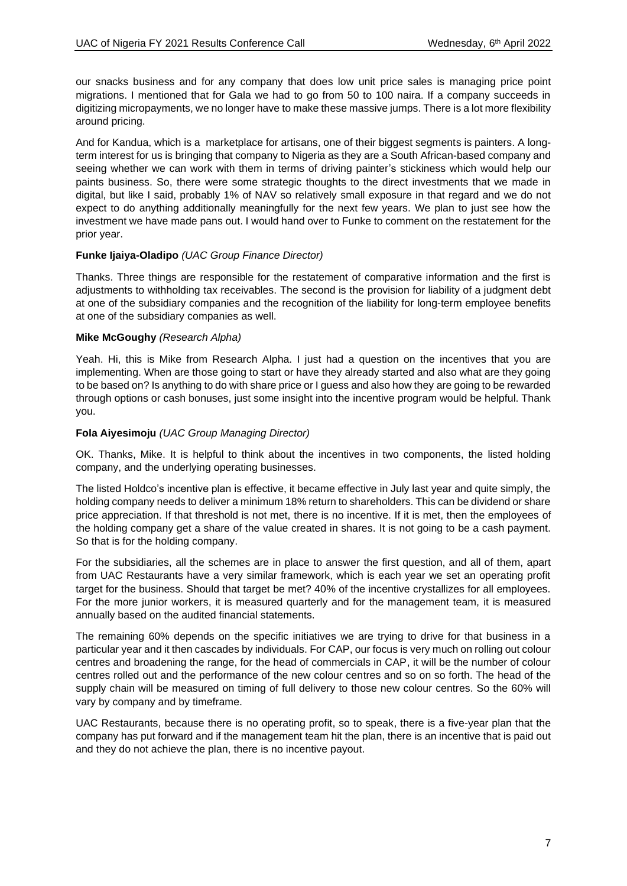our snacks business and for any company that does low unit price sales is managing price point migrations. I mentioned that for Gala we had to go from 50 to 100 naira. If a company succeeds in digitizing micropayments, we no longer have to make these massive jumps. There is a lot more flexibility around pricing.

And for Kandua, which is a marketplace for artisans, one of their biggest segments is painters. A longterm interest for us is bringing that company to Nigeria as they are a South African-based company and seeing whether we can work with them in terms of driving painter's stickiness which would help our paints business. So, there were some strategic thoughts to the direct investments that we made in digital, but like I said, probably 1% of NAV so relatively small exposure in that regard and we do not expect to do anything additionally meaningfully for the next few years. We plan to just see how the investment we have made pans out. I would hand over to Funke to comment on the restatement for the prior year.

# **Funke Ijaiya-Oladipo** *(UAC Group Finance Director)*

Thanks. Three things are responsible for the restatement of comparative information and the first is adjustments to withholding tax receivables. The second is the provision for liability of a judgment debt at one of the subsidiary companies and the recognition of the liability for long-term employee benefits at one of the subsidiary companies as well.

## **Mike McGoughy** *(Research Alpha)*

Yeah. Hi, this is Mike from Research Alpha. I just had a question on the incentives that you are implementing. When are those going to start or have they already started and also what are they going to be based on? Is anything to do with share price or I guess and also how they are going to be rewarded through options or cash bonuses, just some insight into the incentive program would be helpful. Thank you.

# **Fola Aiyesimoju** *(UAC Group Managing Director)*

OK. Thanks, Mike. It is helpful to think about the incentives in two components, the listed holding company, and the underlying operating businesses.

The listed Holdco's incentive plan is effective, it became effective in July last year and quite simply, the holding company needs to deliver a minimum 18% return to shareholders. This can be dividend or share price appreciation. If that threshold is not met, there is no incentive. If it is met, then the employees of the holding company get a share of the value created in shares. It is not going to be a cash payment. So that is for the holding company.

For the subsidiaries, all the schemes are in place to answer the first question, and all of them, apart from UAC Restaurants have a very similar framework, which is each year we set an operating profit target for the business. Should that target be met? 40% of the incentive crystallizes for all employees. For the more junior workers, it is measured quarterly and for the management team, it is measured annually based on the audited financial statements.

The remaining 60% depends on the specific initiatives we are trying to drive for that business in a particular year and it then cascades by individuals. For CAP, our focus is very much on rolling out colour centres and broadening the range, for the head of commercials in CAP, it will be the number of colour centres rolled out and the performance of the new colour centres and so on so forth. The head of the supply chain will be measured on timing of full delivery to those new colour centres. So the 60% will vary by company and by timeframe.

UAC Restaurants, because there is no operating profit, so to speak, there is a five-year plan that the company has put forward and if the management team hit the plan, there is an incentive that is paid out and they do not achieve the plan, there is no incentive payout.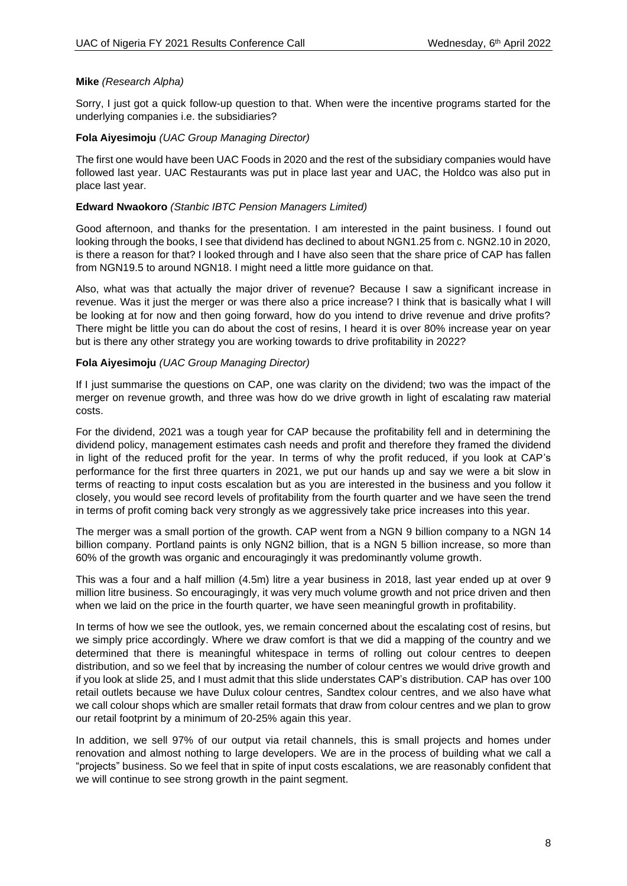#### **Mike** *(Research Alpha)*

Sorry, I just got a quick follow-up question to that. When were the incentive programs started for the underlying companies i.e. the subsidiaries?

#### **Fola Aiyesimoju** *(UAC Group Managing Director)*

The first one would have been UAC Foods in 2020 and the rest of the subsidiary companies would have followed last year. UAC Restaurants was put in place last year and UAC, the Holdco was also put in place last year.

#### **Edward Nwaokoro** *(Stanbic IBTC Pension Managers Limited)*

Good afternoon, and thanks for the presentation. I am interested in the paint business. I found out looking through the books, I see that dividend has declined to about NGN1.25 from c. NGN2.10 in 2020, is there a reason for that? I looked through and I have also seen that the share price of CAP has fallen from NGN19.5 to around NGN18. I might need a little more guidance on that.

Also, what was that actually the major driver of revenue? Because I saw a significant increase in revenue. Was it just the merger or was there also a price increase? I think that is basically what I will be looking at for now and then going forward, how do you intend to drive revenue and drive profits? There might be little you can do about the cost of resins, I heard it is over 80% increase year on year but is there any other strategy you are working towards to drive profitability in 2022?

#### **Fola Aiyesimoju** *(UAC Group Managing Director)*

If I just summarise the questions on CAP, one was clarity on the dividend; two was the impact of the merger on revenue growth, and three was how do we drive growth in light of escalating raw material costs.

For the dividend, 2021 was a tough year for CAP because the profitability fell and in determining the dividend policy, management estimates cash needs and profit and therefore they framed the dividend in light of the reduced profit for the year. In terms of why the profit reduced, if you look at CAP's performance for the first three quarters in 2021, we put our hands up and say we were a bit slow in terms of reacting to input costs escalation but as you are interested in the business and you follow it closely, you would see record levels of profitability from the fourth quarter and we have seen the trend in terms of profit coming back very strongly as we aggressively take price increases into this year.

The merger was a small portion of the growth. CAP went from a NGN 9 billion company to a NGN 14 billion company. Portland paints is only NGN2 billion, that is a NGN 5 billion increase, so more than 60% of the growth was organic and encouragingly it was predominantly volume growth.

This was a four and a half million (4.5m) litre a year business in 2018, last year ended up at over 9 million litre business. So encouragingly, it was very much volume growth and not price driven and then when we laid on the price in the fourth quarter, we have seen meaningful growth in profitability.

In terms of how we see the outlook, yes, we remain concerned about the escalating cost of resins, but we simply price accordingly. Where we draw comfort is that we did a mapping of the country and we determined that there is meaningful whitespace in terms of rolling out colour centres to deepen distribution, and so we feel that by increasing the number of colour centres we would drive growth and if you look at slide 25, and I must admit that this slide understates CAP's distribution. CAP has over 100 retail outlets because we have Dulux colour centres, Sandtex colour centres, and we also have what we call colour shops which are smaller retail formats that draw from colour centres and we plan to grow our retail footprint by a minimum of 20-25% again this year.

In addition, we sell 97% of our output via retail channels, this is small projects and homes under renovation and almost nothing to large developers. We are in the process of building what we call a "projects" business. So we feel that in spite of input costs escalations, we are reasonably confident that we will continue to see strong growth in the paint segment.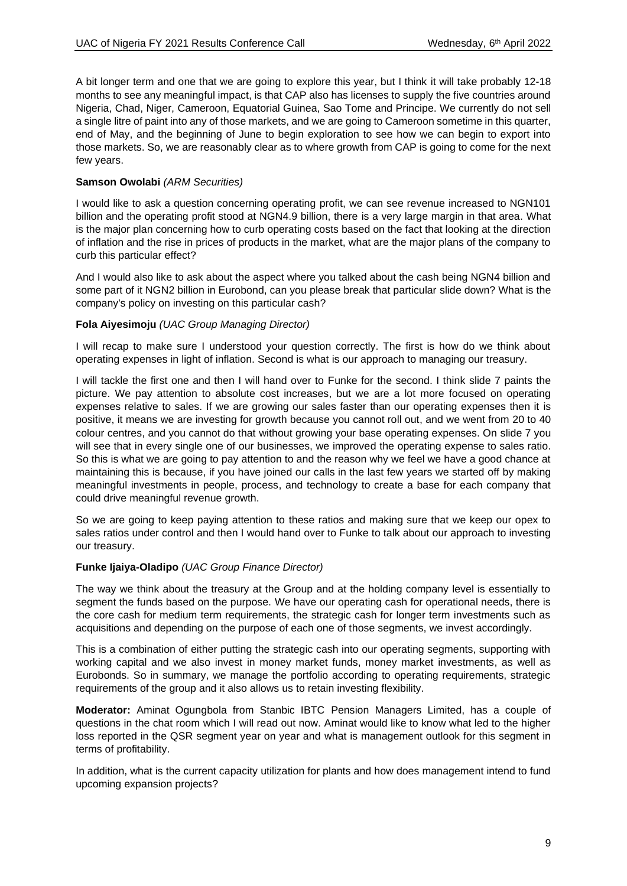A bit longer term and one that we are going to explore this year, but I think it will take probably 12-18 months to see any meaningful impact, is that CAP also has licenses to supply the five countries around Nigeria, Chad, Niger, Cameroon, Equatorial Guinea, Sao Tome and Principe. We currently do not sell a single litre of paint into any of those markets, and we are going to Cameroon sometime in this quarter, end of May, and the beginning of June to begin exploration to see how we can begin to export into those markets. So, we are reasonably clear as to where growth from CAP is going to come for the next few years.

# **Samson Owolabi** *(ARM Securities)*

I would like to ask a question concerning operating profit, we can see revenue increased to NGN101 billion and the operating profit stood at NGN4.9 billion, there is a very large margin in that area. What is the major plan concerning how to curb operating costs based on the fact that looking at the direction of inflation and the rise in prices of products in the market, what are the major plans of the company to curb this particular effect?

And I would also like to ask about the aspect where you talked about the cash being NGN4 billion and some part of it NGN2 billion in Eurobond, can you please break that particular slide down? What is the company's policy on investing on this particular cash?

# **Fola Aiyesimoju** *(UAC Group Managing Director)*

I will recap to make sure I understood your question correctly. The first is how do we think about operating expenses in light of inflation. Second is what is our approach to managing our treasury.

I will tackle the first one and then I will hand over to Funke for the second. I think slide 7 paints the picture. We pay attention to absolute cost increases, but we are a lot more focused on operating expenses relative to sales. If we are growing our sales faster than our operating expenses then it is positive, it means we are investing for growth because you cannot roll out, and we went from 20 to 40 colour centres, and you cannot do that without growing your base operating expenses. On slide 7 you will see that in every single one of our businesses, we improved the operating expense to sales ratio. So this is what we are going to pay attention to and the reason why we feel we have a good chance at maintaining this is because, if you have joined our calls in the last few years we started off by making meaningful investments in people, process, and technology to create a base for each company that could drive meaningful revenue growth.

So we are going to keep paying attention to these ratios and making sure that we keep our opex to sales ratios under control and then I would hand over to Funke to talk about our approach to investing our treasury.

## **Funke Ijaiya-Oladipo** *(UAC Group Finance Director)*

The way we think about the treasury at the Group and at the holding company level is essentially to segment the funds based on the purpose. We have our operating cash for operational needs, there is the core cash for medium term requirements, the strategic cash for longer term investments such as acquisitions and depending on the purpose of each one of those segments, we invest accordingly.

This is a combination of either putting the strategic cash into our operating segments, supporting with working capital and we also invest in money market funds, money market investments, as well as Eurobonds. So in summary, we manage the portfolio according to operating requirements, strategic requirements of the group and it also allows us to retain investing flexibility.

**Moderator:** Aminat Ogungbola from Stanbic IBTC Pension Managers Limited, has a couple of questions in the chat room which I will read out now. Aminat would like to know what led to the higher loss reported in the QSR segment year on year and what is management outlook for this segment in terms of profitability.

In addition, what is the current capacity utilization for plants and how does management intend to fund upcoming expansion projects?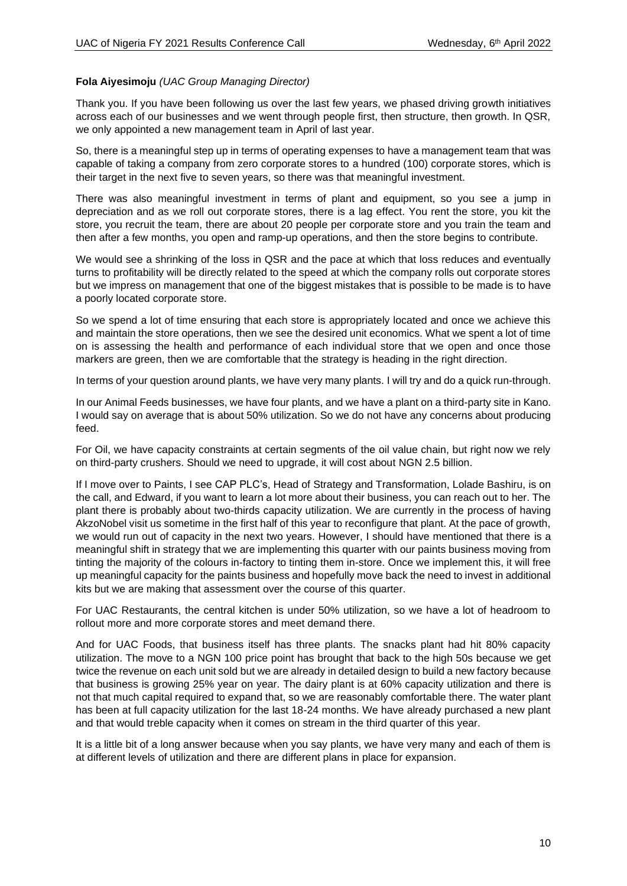# **Fola Aiyesimoju** *(UAC Group Managing Director)*

Thank you. If you have been following us over the last few years, we phased driving growth initiatives across each of our businesses and we went through people first, then structure, then growth. In QSR, we only appointed a new management team in April of last year.

So, there is a meaningful step up in terms of operating expenses to have a management team that was capable of taking a company from zero corporate stores to a hundred (100) corporate stores, which is their target in the next five to seven years, so there was that meaningful investment.

There was also meaningful investment in terms of plant and equipment, so you see a jump in depreciation and as we roll out corporate stores, there is a lag effect. You rent the store, you kit the store, you recruit the team, there are about 20 people per corporate store and you train the team and then after a few months, you open and ramp-up operations, and then the store begins to contribute.

We would see a shrinking of the loss in QSR and the pace at which that loss reduces and eventually turns to profitability will be directly related to the speed at which the company rolls out corporate stores but we impress on management that one of the biggest mistakes that is possible to be made is to have a poorly located corporate store.

So we spend a lot of time ensuring that each store is appropriately located and once we achieve this and maintain the store operations, then we see the desired unit economics. What we spent a lot of time on is assessing the health and performance of each individual store that we open and once those markers are green, then we are comfortable that the strategy is heading in the right direction.

In terms of your question around plants, we have very many plants. I will try and do a quick run-through.

In our Animal Feeds businesses, we have four plants, and we have a plant on a third-party site in Kano. I would say on average that is about 50% utilization. So we do not have any concerns about producing feed.

For Oil, we have capacity constraints at certain segments of the oil value chain, but right now we rely on third-party crushers. Should we need to upgrade, it will cost about NGN 2.5 billion.

If I move over to Paints, I see CAP PLC's, Head of Strategy and Transformation, Lolade Bashiru, is on the call, and Edward, if you want to learn a lot more about their business, you can reach out to her. The plant there is probably about two-thirds capacity utilization. We are currently in the process of having AkzoNobel visit us sometime in the first half of this year to reconfigure that plant. At the pace of growth, we would run out of capacity in the next two years. However, I should have mentioned that there is a meaningful shift in strategy that we are implementing this quarter with our paints business moving from tinting the majority of the colours in-factory to tinting them in-store. Once we implement this, it will free up meaningful capacity for the paints business and hopefully move back the need to invest in additional kits but we are making that assessment over the course of this quarter.

For UAC Restaurants, the central kitchen is under 50% utilization, so we have a lot of headroom to rollout more and more corporate stores and meet demand there.

And for UAC Foods, that business itself has three plants. The snacks plant had hit 80% capacity utilization. The move to a NGN 100 price point has brought that back to the high 50s because we get twice the revenue on each unit sold but we are already in detailed design to build a new factory because that business is growing 25% year on year. The dairy plant is at 60% capacity utilization and there is not that much capital required to expand that, so we are reasonably comfortable there. The water plant has been at full capacity utilization for the last 18-24 months. We have already purchased a new plant and that would treble capacity when it comes on stream in the third quarter of this year.

It is a little bit of a long answer because when you say plants, we have very many and each of them is at different levels of utilization and there are different plans in place for expansion.